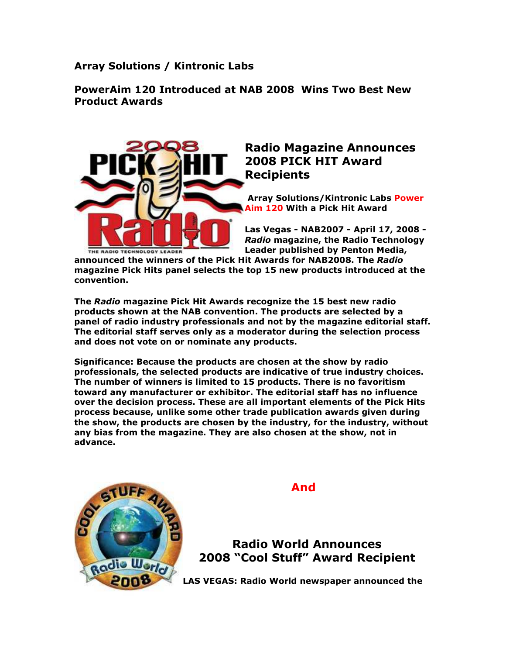Array Solutions / Kintronic Labs

## PowerAim 120 Introduced at NAB 2008 Wins Two Best New Product Awards



## Radio Magazine Announces 2008 PICK HIT Award Recipients

 Array Solutions/Kintronic Labs Power Aim 120 With a Pick Hit Award

Las Vegas - NAB2007 - April 17, 2008 - Radio magazine, the Radio Technology Leader published by Penton Media,

announced the winners of the Pick Hit Awards for NAB2008. The Radio magazine Pick Hits panel selects the top 15 new products introduced at the convention.

The Radio magazine Pick Hit Awards recognize the 15 best new radio products shown at the NAB convention. The products are selected by a panel of radio industry professionals and not by the magazine editorial staff. The editorial staff serves only as a moderator during the selection process and does not vote on or nominate any products.

Significance: Because the products are chosen at the show by radio professionals, the selected products are indicative of true industry choices. The number of winners is limited to 15 products. There is no favoritism toward any manufacturer or exhibitor. The editorial staff has no influence over the decision process. These are all important elements of the Pick Hits process because, unlike some other trade publication awards given during the show, the products are chosen by the industry, for the industry, without any bias from the magazine. They are also chosen at the show, not in advance.



And

Radio World Announces 2008 "Cool Stuff" Award Recipient

LAS VEGAS: Radio World newspaper announced the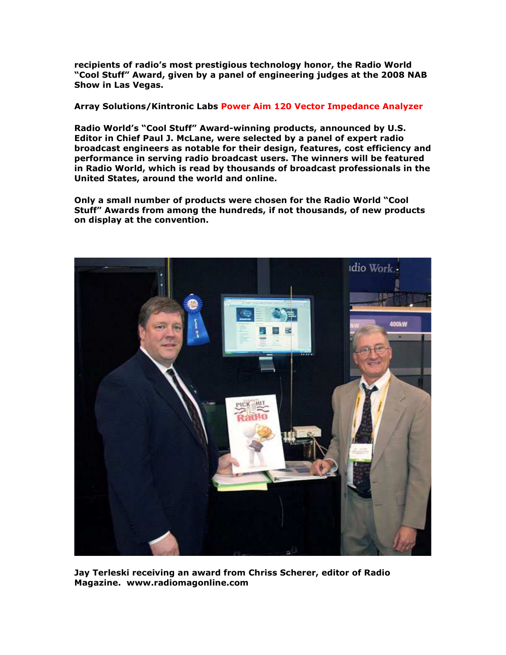recipients of radio's most prestigious technology honor, the Radio World "Cool Stuff" Award, given by a panel of engineering judges at the 2008 NAB Show in Las Vegas.

Array Solutions/Kintronic Labs Power Aim 120 Vector Impedance Analyzer

Radio World's "Cool Stuff" Award-winning products, announced by U.S. Editor in Chief Paul J. McLane, were selected by a panel of expert radio broadcast engineers as notable for their design, features, cost efficiency and performance in serving radio broadcast users. The winners will be featured in Radio World, which is read by thousands of broadcast professionals in the United States, around the world and online.

Only a small number of products were chosen for the Radio World "Cool Stuff" Awards from among the hundreds, if not thousands, of new products on display at the convention.



Jay Terleski receiving an award from Chriss Scherer, editor of Radio Magazine. www.radiomagonline.com